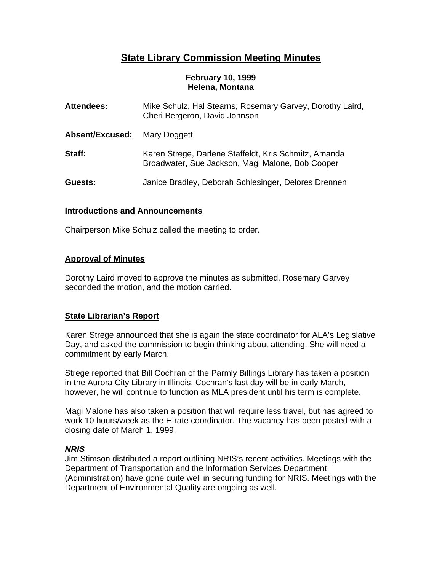# **State Library Commission Meeting Minutes**

## **February 10, 1999 Helena, Montana**

| <b>Attendees:</b>      | Mike Schulz, Hal Stearns, Rosemary Garvey, Dorothy Laird,<br>Cheri Bergeron, David Johnson                |
|------------------------|-----------------------------------------------------------------------------------------------------------|
| <b>Absent/Excused:</b> | Mary Doggett                                                                                              |
| Staff:                 | Karen Strege, Darlene Staffeldt, Kris Schmitz, Amanda<br>Broadwater, Sue Jackson, Magi Malone, Bob Cooper |
| Guests:                | Janice Bradley, Deborah Schlesinger, Delores Drennen                                                      |

# **Introductions and Announcements**

Chairperson Mike Schulz called the meeting to order.

# **Approval of Minutes**

Dorothy Laird moved to approve the minutes as submitted. Rosemary Garvey seconded the motion, and the motion carried.

# **State Librarian's Report**

Karen Strege announced that she is again the state coordinator for ALA's Legislative Day, and asked the commission to begin thinking about attending. She will need a commitment by early March.

Strege reported that Bill Cochran of the Parmly Billings Library has taken a position in the Aurora City Library in Illinois. Cochran's last day will be in early March, however, he will continue to function as MLA president until his term is complete.

Magi Malone has also taken a position that will require less travel, but has agreed to work 10 hours/week as the E-rate coordinator. The vacancy has been posted with a closing date of March 1, 1999.

# *NRIS*

Jim Stimson distributed a report outlining NRIS's recent activities. Meetings with the Department of Transportation and the Information Services Department (Administration) have gone quite well in securing funding for NRIS. Meetings with the Department of Environmental Quality are ongoing as well.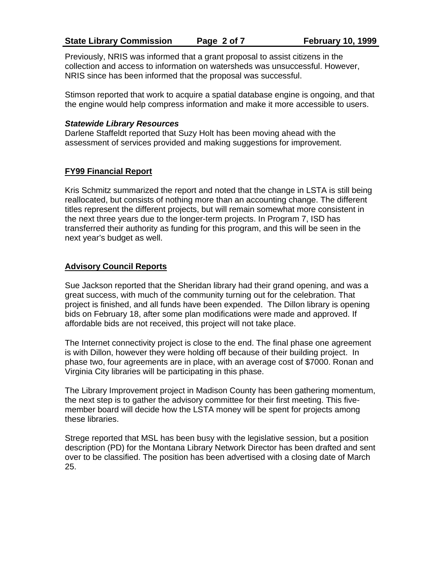Previously, NRIS was informed that a grant proposal to assist citizens in the collection and access to information on watersheds was unsuccessful. However, NRIS since has been informed that the proposal was successful.

Stimson reported that work to acquire a spatial database engine is ongoing, and that the engine would help compress information and make it more accessible to users.

## *Statewide Library Resources*

Darlene Staffeldt reported that Suzy Holt has been moving ahead with the assessment of services provided and making suggestions for improvement.

## **FY99 Financial Report**

Kris Schmitz summarized the report and noted that the change in LSTA is still being reallocated, but consists of nothing more than an accounting change. The different titles represent the different projects, but will remain somewhat more consistent in the next three years due to the longer-term projects. In Program 7, ISD has transferred their authority as funding for this program, and this will be seen in the next year's budget as well.

## **Advisory Council Reports**

Sue Jackson reported that the Sheridan library had their grand opening, and was a great success, with much of the community turning out for the celebration. That project is finished, and all funds have been expended. The Dillon library is opening bids on February 18, after some plan modifications were made and approved. If affordable bids are not received, this project will not take place.

The Internet connectivity project is close to the end. The final phase one agreement is with Dillon, however they were holding off because of their building project. In phase two, four agreements are in place, with an average cost of \$7000. Ronan and Virginia City libraries will be participating in this phase.

The Library Improvement project in Madison County has been gathering momentum, the next step is to gather the advisory committee for their first meeting. This fivemember board will decide how the LSTA money will be spent for projects among these libraries.

Strege reported that MSL has been busy with the legislative session, but a position description (PD) for the Montana Library Network Director has been drafted and sent over to be classified. The position has been advertised with a closing date of March 25.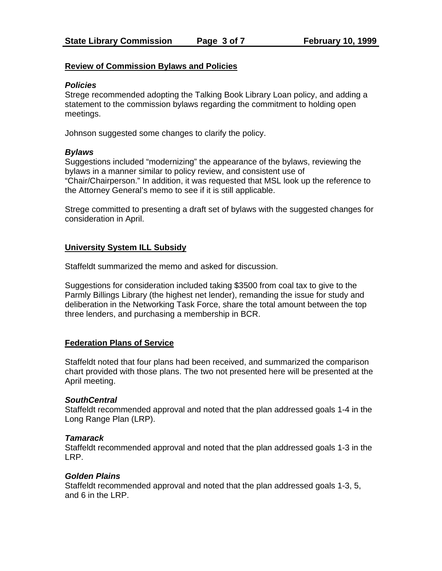## **Review of Commission Bylaws and Policies**

## *Policies*

Strege recommended adopting the Talking Book Library Loan policy, and adding a statement to the commission bylaws regarding the commitment to holding open meetings.

Johnson suggested some changes to clarify the policy.

## *Bylaws*

Suggestions included "modernizing" the appearance of the bylaws, reviewing the bylaws in a manner similar to policy review, and consistent use of "Chair/Chairperson." In addition, it was requested that MSL look up the reference to the Attorney General's memo to see if it is still applicable.

Strege committed to presenting a draft set of bylaws with the suggested changes for consideration in April.

## **University System ILL Subsidy**

Staffeldt summarized the memo and asked for discussion.

Suggestions for consideration included taking \$3500 from coal tax to give to the Parmly Billings Library (the highest net lender), remanding the issue for study and deliberation in the Networking Task Force, share the total amount between the top three lenders, and purchasing a membership in BCR.

# **Federation Plans of Service**

Staffeldt noted that four plans had been received, and summarized the comparison chart provided with those plans. The two not presented here will be presented at the April meeting.

# *SouthCentral*

Staffeldt recommended approval and noted that the plan addressed goals 1-4 in the Long Range Plan (LRP).

## *Tamarack*

Staffeldt recommended approval and noted that the plan addressed goals 1-3 in the LRP.

## *Golden Plains*

Staffeldt recommended approval and noted that the plan addressed goals 1-3, 5, and 6 in the LRP.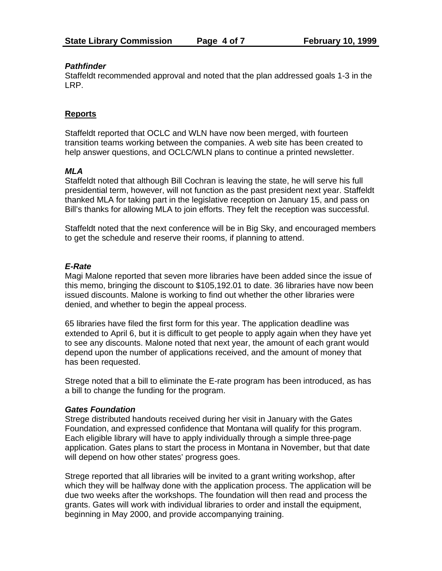## *Pathfinder*

Staffeldt recommended approval and noted that the plan addressed goals 1-3 in the LRP.

# **Reports**

Staffeldt reported that OCLC and WLN have now been merged, with fourteen transition teams working between the companies. A web site has been created to help answer questions, and OCLC/WLN plans to continue a printed newsletter.

## *MLA*

Staffeldt noted that although Bill Cochran is leaving the state, he will serve his full presidential term, however, will not function as the past president next year. Staffeldt thanked MLA for taking part in the legislative reception on January 15, and pass on Bill's thanks for allowing MLA to join efforts. They felt the reception was successful.

Staffeldt noted that the next conference will be in Big Sky, and encouraged members to get the schedule and reserve their rooms, if planning to attend.

# *E-Rate*

Magi Malone reported that seven more libraries have been added since the issue of this memo, bringing the discount to \$105,192.01 to date. 36 libraries have now been issued discounts. Malone is working to find out whether the other libraries were denied, and whether to begin the appeal process.

65 libraries have filed the first form for this year. The application deadline was extended to April 6, but it is difficult to get people to apply again when they have yet to see any discounts. Malone noted that next year, the amount of each grant would depend upon the number of applications received, and the amount of money that has been requested.

Strege noted that a bill to eliminate the E-rate program has been introduced, as has a bill to change the funding for the program.

## *Gates Foundation*

Strege distributed handouts received during her visit in January with the Gates Foundation, and expressed confidence that Montana will qualify for this program. Each eligible library will have to apply individually through a simple three-page application. Gates plans to start the process in Montana in November, but that date will depend on how other states' progress goes.

Strege reported that all libraries will be invited to a grant writing workshop, after which they will be halfway done with the application process. The application will be due two weeks after the workshops. The foundation will then read and process the grants. Gates will work with individual libraries to order and install the equipment, beginning in May 2000, and provide accompanying training.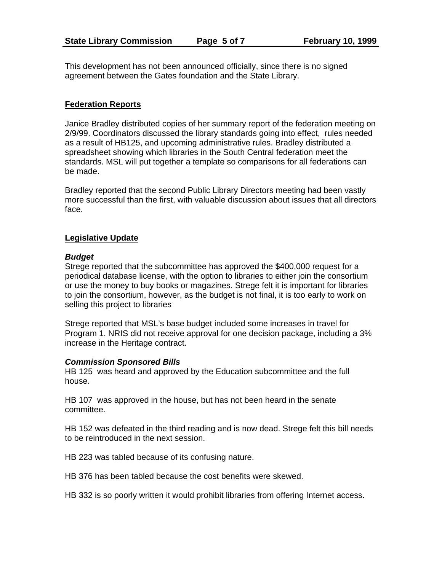This development has not been announced officially, since there is no signed agreement between the Gates foundation and the State Library.

## **Federation Reports**

Janice Bradley distributed copies of her summary report of the federation meeting on 2/9/99. Coordinators discussed the library standards going into effect, rules needed as a result of HB125, and upcoming administrative rules. Bradley distributed a spreadsheet showing which libraries in the South Central federation meet the standards. MSL will put together a template so comparisons for all federations can be made.

Bradley reported that the second Public Library Directors meeting had been vastly more successful than the first, with valuable discussion about issues that all directors face.

## **Legislative Update**

## *Budget*

Strege reported that the subcommittee has approved the \$400,000 request for a periodical database license, with the option to libraries to either join the consortium or use the money to buy books or magazines. Strege felt it is important for libraries to join the consortium, however, as the budget is not final, it is too early to work on selling this project to libraries

Strege reported that MSL's base budget included some increases in travel for Program 1. NRIS did not receive approval for one decision package, including a 3% increase in the Heritage contract.

## *Commission Sponsored Bills*

HB 125 was heard and approved by the Education subcommittee and the full house.

HB 107 was approved in the house, but has not been heard in the senate committee.

HB 152 was defeated in the third reading and is now dead. Strege felt this bill needs to be reintroduced in the next session.

HB 223 was tabled because of its confusing nature.

HB 376 has been tabled because the cost benefits were skewed.

HB 332 is so poorly written it would prohibit libraries from offering Internet access.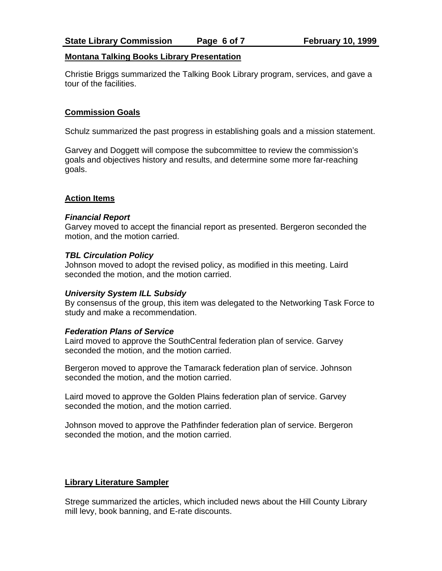## **Montana Talking Books Library Presentation**

Christie Briggs summarized the Talking Book Library program, services, and gave a tour of the facilities.

## **Commission Goals**

Schulz summarized the past progress in establishing goals and a mission statement.

Garvey and Doggett will compose the subcommittee to review the commission's goals and objectives history and results, and determine some more far-reaching goals.

## **Action Items**

## *Financial Report*

Garvey moved to accept the financial report as presented. Bergeron seconded the motion, and the motion carried.

## *TBL Circulation Policy*

Johnson moved to adopt the revised policy, as modified in this meeting. Laird seconded the motion, and the motion carried.

## *University System ILL Subsidy*

By consensus of the group, this item was delegated to the Networking Task Force to study and make a recommendation.

## *Federation Plans of Service*

Laird moved to approve the SouthCentral federation plan of service. Garvey seconded the motion, and the motion carried.

Bergeron moved to approve the Tamarack federation plan of service. Johnson seconded the motion, and the motion carried.

Laird moved to approve the Golden Plains federation plan of service. Garvey seconded the motion, and the motion carried.

Johnson moved to approve the Pathfinder federation plan of service. Bergeron seconded the motion, and the motion carried.

# **Library Literature Sampler**

Strege summarized the articles, which included news about the Hill County Library mill levy, book banning, and E-rate discounts.